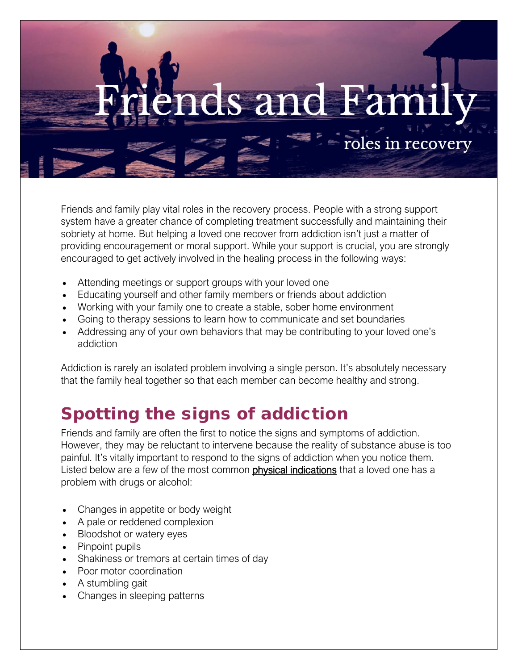# s and

roles in recovery

Friends and family play vital roles in the recovery process. People with a strong support system have a greater chance of completing treatment successfully and maintaining their sobriety at home. But helping a loved one recover from addiction isn't just a matter of providing encouragement or moral support. While your support is crucial, you are strongly encouraged to get actively involved in the healing process in the following ways:

- [Attending meetings or support groups with your loved one](https://www.therecoveryvillage.com/drug-treatment-guide/individualized-vs-group-therapy/)
- Educating yourself and other family members or friends about addiction
- Working with your family one to create a stable, sober home environment
- Going to therapy sessions to learn how to communicate and set boundaries
- Addressing any of your own behaviors that may be [contributing to your loved one's](https://www.therecoveryvillage.com/recovery-blog/help-addicted-loved-one/)  [addiction](https://www.therecoveryvillage.com/recovery-blog/help-addicted-loved-one/)

Addiction is rarely an isolated problem involving a single person. It's absolutely necessary that the family heal together so that each member can become healthy and strong.

## Spotting the signs of addiction

Friends and family are often the first to notice the signs and symptoms of addiction. However, they may be reluctant to intervene because the reality of substance abuse is too painful. It's vitally important to respond to the signs of addiction when you notice them. Listed below are a few of the most common **physical indications** that a loved one has a problem with drugs or alcohol:

- Changes in appetite or body weight
- A pale or reddened complexion
- Bloodshot or watery eyes
- Pinpoint pupils
- Shakiness or tremors at certain times of day
- Poor motor coordination
- A stumbling gait
- Changes in sleeping patterns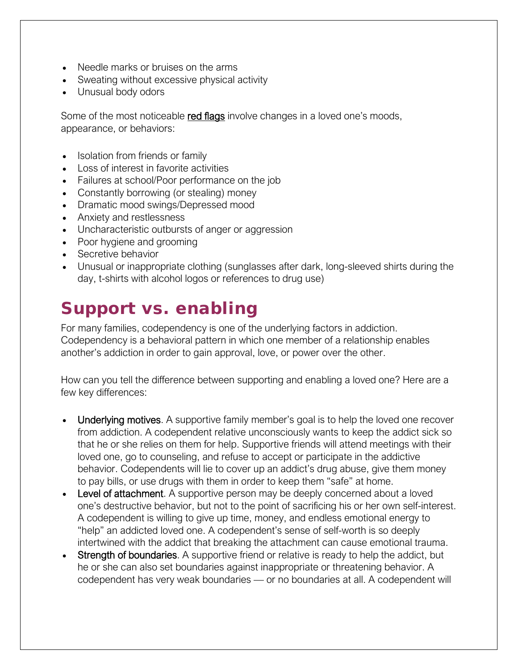- Needle marks or bruises on the arms
- Sweating without excessive physical activity
- Unusual body odors

Some of the most noticeable red flags involve changes in a loved one's moods, appearance, or behaviors:

- Isolation from friends or family
- Loss of interest in favorite activities
- Failures at school/Poor performance on the job
- Constantly borrowing (or stealing) money
- Dramatic mood swings[/Depressed mood](https://www.therecoveryvillage.com/depression/)
- [Anxiety and restlessness](https://www.therecoveryvillage.com/anxiety-disorder/)
- Uncharacteristic outbursts of anger or aggression
- Poor hygiene and grooming
- Secretive behavior
- Unusual or inappropriate clothing (sunglasses after dark, long-sleeved shirts during the day, t-shirts with alcohol logos or references to drug use)

### Support vs. enabling

For many families, codependency is one of the underlying factors in addiction. Codependency is a behavioral pattern in which one member of a relationship enables another's addiction in order to gain approval, love, or power over the other.

How can you tell the difference between supporting and enabling a loved one? Here are a few key differences:

- Underlying motives. A supportive family member's goal is to help the loved one recover from addiction. A codependent relative unconsciously wants to keep the addict sick so that he or she relies on them for help. Supportive friends will attend meetings with their loved one, go to counseling, and refuse to accept or participate in the addictive behavior. Codependents will lie to cover up an addict's drug abuse, give them money to pay bills, or use drugs with them in order to keep them "safe" at home.
- Level of attachment. A supportive person may be deeply concerned about a loved one's destructive behavior, but not to the point of sacrificing his or her own self-interest. A codependent is willing to give up time, money, and endless emotional energy to "help" an addicted loved one. A codependent's sense of self-worth is so deeply intertwined with the addict that breaking the attachment can cause emotional trauma.
- Strength of boundaries. A supportive friend or relative is ready to help the addict, but he or she can also set boundaries against inappropriate or threatening behavior. A codependent has very weak boundaries — or no boundaries at all. A codependent will